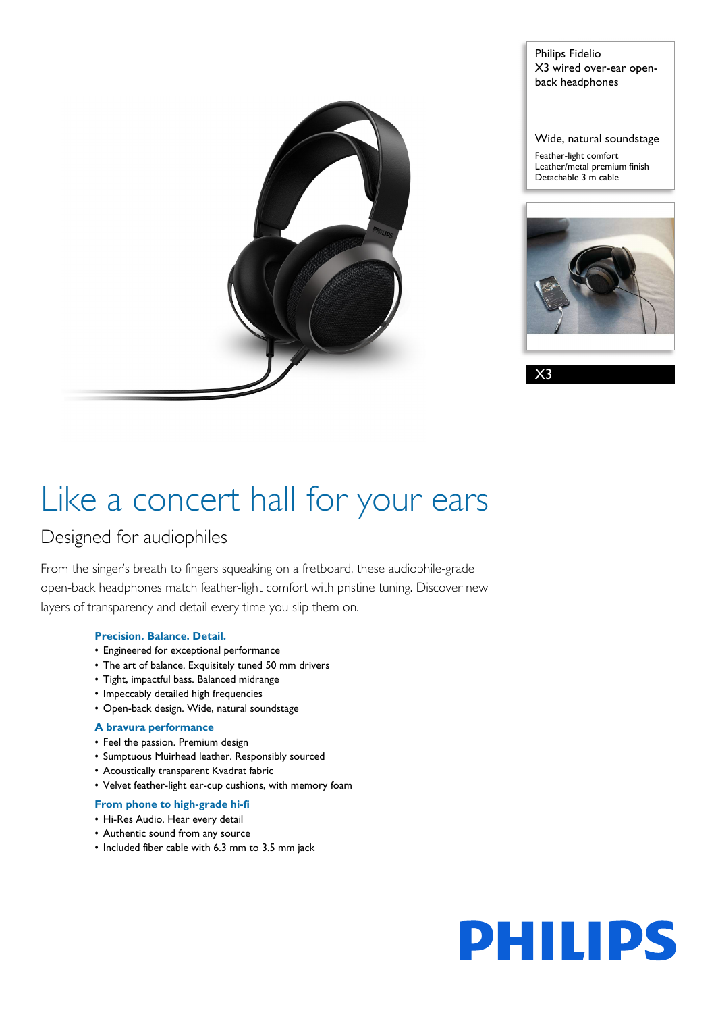

Philips Fidelio X3 wired over-ear openback headphones

Wide, natural soundstage Feather-light comfort Leather/metal premium finish

Detachable 3 m cable

X3

# Like a concert hall for your ears

### Designed for audiophiles

From the singer's breath to fingers squeaking on a fretboard, these audiophile-grade open-back headphones match feather-light comfort with pristine tuning. Discover new layers of transparency and detail every time you slip them on.

#### **Precision. Balance. Detail.**

- Engineered for exceptional performance
- The art of balance. Exquisitely tuned 50 mm drivers
- Tight, impactful bass. Balanced midrange
- Impeccably detailed high frequencies
- Open-back design. Wide, natural soundstage

#### **A bravura performance**

- Feel the passion. Premium design
- Sumptuous Muirhead leather. Responsibly sourced
- Acoustically transparent Kvadrat fabric
- Velvet feather-light ear-cup cushions, with memory foam

#### **From phone to high-grade hi-fi**

- Hi-Res Audio. Hear every detail
- Authentic sound from any source
- Included fiber cable with 6.3 mm to 3.5 mm jack

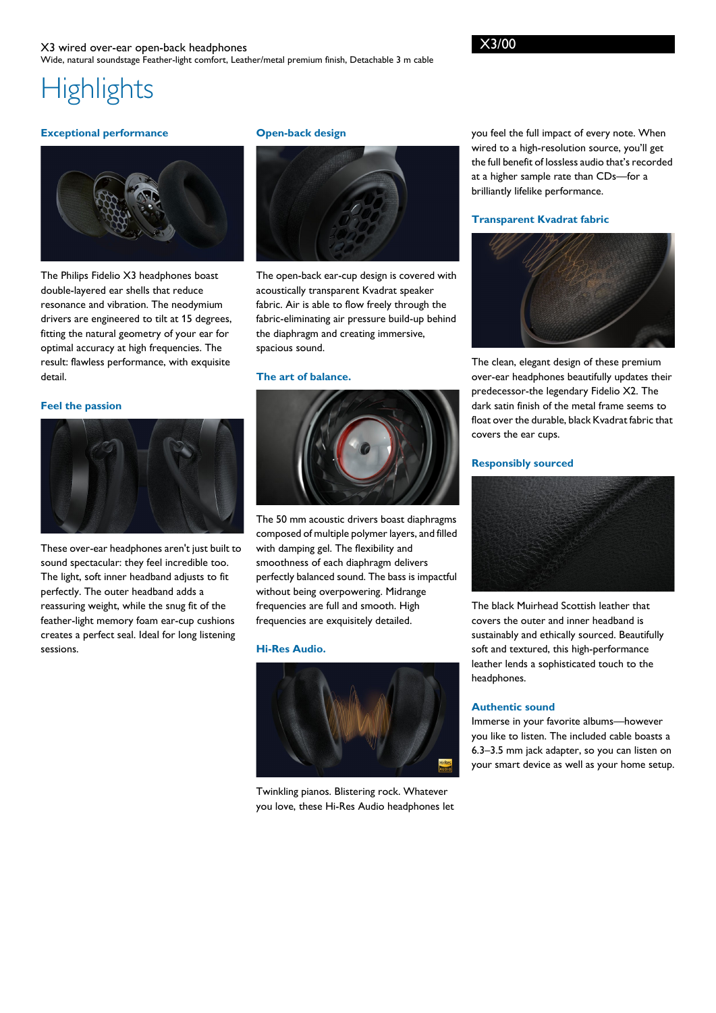## **Highlights**

#### **Exceptional performance**



The Philips Fidelio X3 headphones boast double-layered ear shells that reduce resonance and vibration. The neodymium drivers are engineered to tilt at 15 degrees, fitting the natural geometry of your ear for optimal accuracy at high frequencies. The result: flawless performance, with exquisite detail.

#### **Feel the passion**



These over-ear headphones aren't just built to sound spectacular: they feel incredible too. The light, soft inner headband adjusts to fit perfectly. The outer headband adds a reassuring weight, while the snug fit of the feather-light memory foam ear-cup cushions creates a perfect seal. Ideal for long listening sessions.

#### **Open-back design**



The open-back ear-cup design is covered with acoustically transparent Kvadrat speaker fabric. Air is able to flow freely through the fabric-eliminating air pressure build-up behind the diaphragm and creating immersive, spacious sound.

#### **The art of balance.**



The 50 mm acoustic drivers boast diaphragms composed of multiple polymer layers, and filled with damping gel. The flexibility and smoothness of each diaphragm delivers perfectly balanced sound. The bass is impactful without being overpowering. Midrange frequencies are full and smooth. High frequencies are exquisitely detailed.

#### **Hi-Res Audio.**



Twinkling pianos. Blistering rock. Whatever you love, these Hi-Res Audio headphones let you feel the full impact of every note. When wired to a high-resolution source, you'll get the full benefit of lossless audio that's recorded at a higher sample rate than CDs—for a brilliantly lifelike performance.

#### **Transparent Kvadrat fabric**



The clean, elegant design of these premium over-ear headphones beautifully updates their predecessor-the legendary Fidelio X2. The dark satin finish of the metal frame seems to float over the durable, black Kvadrat fabric that covers the ear cups.

#### **Responsibly sourced**



The black Muirhead Scottish leather that covers the outer and inner headband is sustainably and ethically sourced. Beautifully soft and textured, this high-performance leather lends a sophisticated touch to the headphones.

#### **Authentic sound**

Immerse in your favorite albums—however you like to listen. The included cable boasts a 6.3–3.5 mm jack adapter, so you can listen on your smart device as well as your home setup.